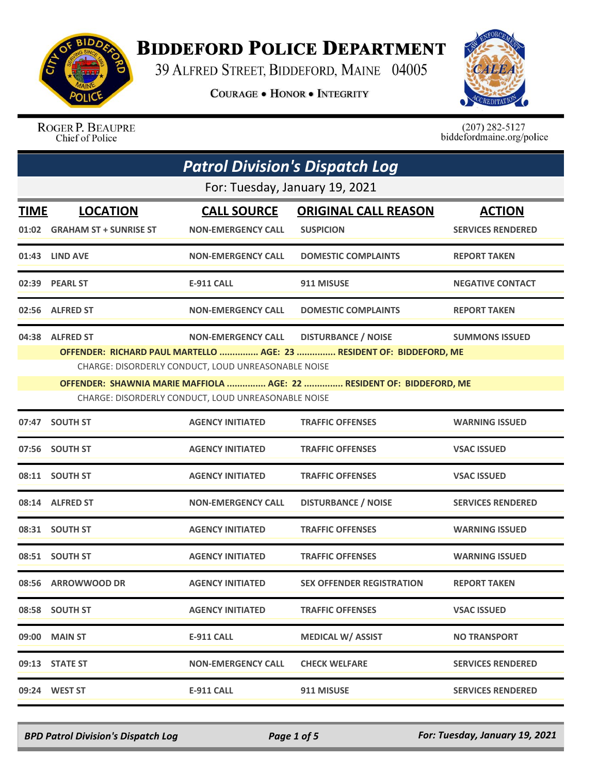

## **BIDDEFORD POLICE DEPARTMENT**

39 ALFRED STREET, BIDDEFORD, MAINE 04005

**COURAGE . HONOR . INTEGRITY** 



ROGER P. BEAUPRE Chief of Police

 $(207)$  282-5127<br>biddefordmaine.org/police

| <b>Patrol Division's Dispatch Log</b> |                                                 |                                                                                                                                         |                                                                                                                                                                             |                                           |
|---------------------------------------|-------------------------------------------------|-----------------------------------------------------------------------------------------------------------------------------------------|-----------------------------------------------------------------------------------------------------------------------------------------------------------------------------|-------------------------------------------|
|                                       |                                                 | For: Tuesday, January 19, 2021                                                                                                          |                                                                                                                                                                             |                                           |
| <b>TIME</b>                           | <b>LOCATION</b><br>01:02 GRAHAM ST + SUNRISE ST | <b>CALL SOURCE</b><br><b>NON-EMERGENCY CALL</b>                                                                                         | <b>ORIGINAL CALL REASON</b><br><b>SUSPICION</b>                                                                                                                             | <b>ACTION</b><br><b>SERVICES RENDERED</b> |
|                                       | 01:43 LIND AVE                                  | <b>NON-EMERGENCY CALL</b>                                                                                                               | <b>DOMESTIC COMPLAINTS</b>                                                                                                                                                  | <b>REPORT TAKEN</b>                       |
|                                       | 02:39 PEARL ST                                  | <b>E-911 CALL</b>                                                                                                                       | 911 MISUSE                                                                                                                                                                  | <b>NEGATIVE CONTACT</b>                   |
|                                       | 02:56 ALFRED ST                                 | <b>NON-EMERGENCY CALL</b>                                                                                                               | <b>DOMESTIC COMPLAINTS</b>                                                                                                                                                  | <b>REPORT TAKEN</b>                       |
|                                       | 04:38 ALFRED ST                                 | <b>NON-EMERGENCY CALL</b><br>CHARGE: DISORDERLY CONDUCT, LOUD UNREASONABLE NOISE<br>CHARGE: DISORDERLY CONDUCT, LOUD UNREASONABLE NOISE | <b>DISTURBANCE / NOISE</b><br>OFFENDER: RICHARD PAUL MARTELLO  AGE: 23  RESIDENT OF: BIDDEFORD, ME<br>OFFENDER: SHAWNIA MARIE MAFFIOLA  AGE: 22  RESIDENT OF: BIDDEFORD, ME | <b>SUMMONS ISSUED</b>                     |
|                                       | 07:47 SOUTH ST                                  | <b>AGENCY INITIATED</b>                                                                                                                 | <b>TRAFFIC OFFENSES</b>                                                                                                                                                     | <b>WARNING ISSUED</b>                     |
|                                       | 07:56 SOUTH ST                                  | <b>AGENCY INITIATED</b>                                                                                                                 | <b>TRAFFIC OFFENSES</b>                                                                                                                                                     | <b>VSAC ISSUED</b>                        |
|                                       | 08:11 SOUTH ST                                  | <b>AGENCY INITIATED</b>                                                                                                                 | <b>TRAFFIC OFFENSES</b>                                                                                                                                                     | <b>VSAC ISSUED</b>                        |
|                                       | 08:14 ALFRED ST                                 | <b>NON-EMERGENCY CALL</b>                                                                                                               | <b>DISTURBANCE / NOISE</b>                                                                                                                                                  | <b>SERVICES RENDERED</b>                  |
|                                       | 08:31 SOUTH ST                                  | <b>AGENCY INITIATED</b>                                                                                                                 | <b>TRAFFIC OFFENSES</b>                                                                                                                                                     | <b>WARNING ISSUED</b>                     |
|                                       | 08:51 SOUTH ST                                  | <b>AGENCY INITIATED</b>                                                                                                                 | <b>TRAFFIC OFFENSES</b>                                                                                                                                                     | <b>WARNING ISSUED</b>                     |
|                                       | 08:56 ARROWWOOD DR                              | <b>AGENCY INITIATED</b>                                                                                                                 | <b>SEX OFFENDER REGISTRATION</b>                                                                                                                                            | <b>REPORT TAKEN</b>                       |
|                                       | 08:58 SOUTH ST                                  | <b>AGENCY INITIATED</b>                                                                                                                 | <b>TRAFFIC OFFENSES</b>                                                                                                                                                     | <b>VSAC ISSUED</b>                        |
|                                       | 09:00 MAIN ST                                   | <b>E-911 CALL</b>                                                                                                                       | <b>MEDICAL W/ ASSIST</b>                                                                                                                                                    | <b>NO TRANSPORT</b>                       |
|                                       | 09:13 STATE ST                                  | <b>NON-EMERGENCY CALL</b>                                                                                                               | <b>CHECK WELFARE</b>                                                                                                                                                        | <b>SERVICES RENDERED</b>                  |
|                                       | 09:24 WEST ST                                   | <b>E-911 CALL</b>                                                                                                                       | 911 MISUSE                                                                                                                                                                  | <b>SERVICES RENDERED</b>                  |

*BPD Patrol Division's Dispatch Log Page 1 of 5 For: Tuesday, January 19, 2021*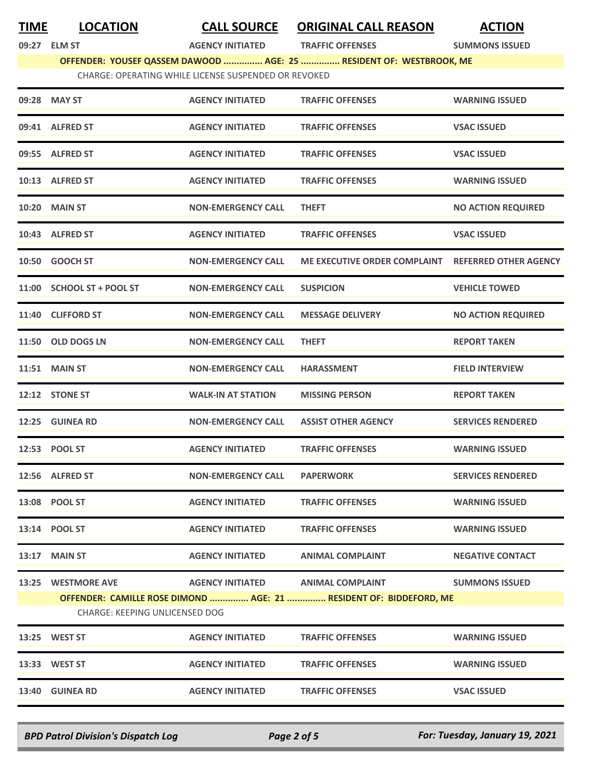| <b>TIME</b> | <b>LOCATION</b>                                      | <b>CALL SOURCE</b>                | <b>ORIGINAL CALL REASON</b>                                         | <b>ACTION</b>                |  |  |
|-------------|------------------------------------------------------|-----------------------------------|---------------------------------------------------------------------|------------------------------|--|--|
|             | 09:27 ELM ST                                         | <b>AGENCY INITIATED</b>           | <b>TRAFFIC OFFENSES</b>                                             | <b>SUMMONS ISSUED</b>        |  |  |
|             |                                                      |                                   | OFFENDER: YOUSEF QASSEM DAWOOD  AGE: 25  RESIDENT OF: WESTBROOK, ME |                              |  |  |
|             | CHARGE: OPERATING WHILE LICENSE SUSPENDED OR REVOKED |                                   |                                                                     |                              |  |  |
|             | 09:28 MAY ST                                         | <b>AGENCY INITIATED</b>           | <b>TRAFFIC OFFENSES</b>                                             | <b>WARNING ISSUED</b>        |  |  |
|             | 09:41 ALFRED ST                                      | <b>AGENCY INITIATED</b>           | <b>TRAFFIC OFFENSES</b>                                             | <b>VSAC ISSUED</b>           |  |  |
|             | 09:55 ALFRED ST                                      | <b>AGENCY INITIATED</b>           | <b>TRAFFIC OFFENSES</b>                                             | <b>VSAC ISSUED</b>           |  |  |
|             | 10:13 ALFRED ST                                      | <b>AGENCY INITIATED</b>           | <b>TRAFFIC OFFENSES</b>                                             | <b>WARNING ISSUED</b>        |  |  |
| 10:20       | <b>MAIN ST</b>                                       | <b>NON-EMERGENCY CALL</b>         | <b>THEFT</b>                                                        | <b>NO ACTION REQUIRED</b>    |  |  |
|             | 10:43 ALFRED ST                                      | <b>AGENCY INITIATED</b>           | <b>TRAFFIC OFFENSES</b>                                             | <b>VSAC ISSUED</b>           |  |  |
|             | 10:50 GOOCH ST                                       | <b>NON-EMERGENCY CALL</b>         | ME EXECUTIVE ORDER COMPLAINT                                        | <b>REFERRED OTHER AGENCY</b> |  |  |
|             | 11:00 SCHOOL ST + POOL ST                            | <b>NON-EMERGENCY CALL</b>         | <b>SUSPICION</b>                                                    | <b>VEHICLE TOWED</b>         |  |  |
|             | 11:40 CLIFFORD ST                                    | <b>NON-EMERGENCY CALL</b>         | <b>MESSAGE DELIVERY</b>                                             | <b>NO ACTION REQUIRED</b>    |  |  |
|             | 11:50 OLD DOGS LN                                    | <b>NON-EMERGENCY CALL</b>         | <b>THEFT</b>                                                        | <b>REPORT TAKEN</b>          |  |  |
|             | <b>11:51 MAIN ST</b>                                 | <b>NON-EMERGENCY CALL</b>         | <b>HARASSMENT</b>                                                   | <b>FIELD INTERVIEW</b>       |  |  |
|             | 12:12 STONE ST                                       | <b>WALK-IN AT STATION</b>         | <b>MISSING PERSON</b>                                               | <b>REPORT TAKEN</b>          |  |  |
|             | 12:25 GUINEA RD                                      | <b>NON-EMERGENCY CALL</b>         | <b>ASSIST OTHER AGENCY</b>                                          | <b>SERVICES RENDERED</b>     |  |  |
|             | 12:53 POOL ST                                        | <b>AGENCY INITIATED</b>           | <b>TRAFFIC OFFENSES</b>                                             | <b>WARNING ISSUED</b>        |  |  |
|             | 12:56 ALFRED ST                                      | <b>NON-EMERGENCY CALL</b>         | <b>PAPERWORK</b>                                                    | <b>SERVICES RENDERED</b>     |  |  |
|             | 13:08 POOL ST                                        | <b>AGENCY INITIATED</b>           | <b>TRAFFIC OFFENSES</b>                                             | <b>WARNING ISSUED</b>        |  |  |
|             | 13:14 POOL ST                                        | <b>AGENCY INITIATED</b>           | <b>TRAFFIC OFFENSES</b>                                             | <b>WARNING ISSUED</b>        |  |  |
|             | 13:17 MAIN ST                                        | <b>AGENCY INITIATED</b>           | <b>ANIMAL COMPLAINT</b>                                             | <b>NEGATIVE CONTACT</b>      |  |  |
|             | 13:25 WESTMORE AVE                                   | AGENCY INITIATED ANIMAL COMPLAINT |                                                                     | <b>SUMMONS ISSUED</b>        |  |  |
|             |                                                      |                                   | OFFENDER: CAMILLE ROSE DIMOND  AGE: 21  RESIDENT OF: BIDDEFORD, ME  |                              |  |  |
|             | CHARGE: KEEPING UNLICENSED DOG                       |                                   |                                                                     |                              |  |  |
|             | 13:25 WEST ST                                        | <b>AGENCY INITIATED</b>           | <b>TRAFFIC OFFENSES</b>                                             | <b>WARNING ISSUED</b>        |  |  |
|             | 13:33 WEST ST                                        | <b>AGENCY INITIATED</b>           | <b>TRAFFIC OFFENSES</b>                                             | <b>WARNING ISSUED</b>        |  |  |
|             | 13:40 GUINEA RD                                      | <b>AGENCY INITIATED</b>           | <b>TRAFFIC OFFENSES</b>                                             | <b>VSAC ISSUED</b>           |  |  |

*BPD Patrol Division's Dispatch Log Page 2 of 5 For: Tuesday, January 19, 2021*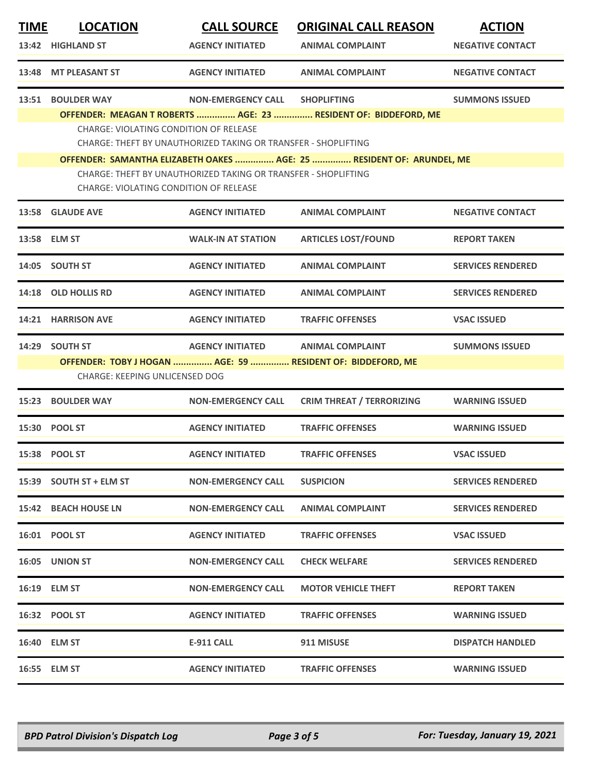| <b>TIME</b> | <b>LOCATION</b>                                                                                                                                                                   | <b>CALL SOURCE</b>                                                                                              | <b>ORIGINAL CALL REASON</b>                                     | <b>ACTION</b>            |  |
|-------------|-----------------------------------------------------------------------------------------------------------------------------------------------------------------------------------|-----------------------------------------------------------------------------------------------------------------|-----------------------------------------------------------------|--------------------------|--|
|             | 13:42 HIGHLAND ST                                                                                                                                                                 | <b>AGENCY INITIATED</b>                                                                                         | <b>ANIMAL COMPLAINT</b>                                         | <b>NEGATIVE CONTACT</b>  |  |
|             | 13:48 MT PLEASANT ST                                                                                                                                                              | <b>AGENCY INITIATED</b>                                                                                         | <b>ANIMAL COMPLAINT</b>                                         | <b>NEGATIVE CONTACT</b>  |  |
|             | 13:51 BOULDER WAY                                                                                                                                                                 | <b>NON-EMERGENCY CALL</b>                                                                                       | <b>SHOPLIFTING</b>                                              | <b>SUMMONS ISSUED</b>    |  |
|             |                                                                                                                                                                                   | <b>CHARGE: VIOLATING CONDITION OF RELEASE</b><br>CHARGE: THEFT BY UNAUTHORIZED TAKING OR TRANSFER - SHOPLIFTING | OFFENDER: MEAGAN T ROBERTS  AGE: 23  RESIDENT OF: BIDDEFORD, ME |                          |  |
|             | OFFENDER: SAMANTHA ELIZABETH OAKES  AGE: 25  RESIDENT OF: ARUNDEL, ME<br>CHARGE: THEFT BY UNAUTHORIZED TAKING OR TRANSFER - SHOPLIFTING<br>CHARGE: VIOLATING CONDITION OF RELEASE |                                                                                                                 |                                                                 |                          |  |
|             | 13:58 GLAUDE AVE                                                                                                                                                                  | <b>AGENCY INITIATED</b>                                                                                         | <b>ANIMAL COMPLAINT</b>                                         | <b>NEGATIVE CONTACT</b>  |  |
|             | 13:58 ELM ST                                                                                                                                                                      | <b>WALK-IN AT STATION</b>                                                                                       | <b>ARTICLES LOST/FOUND</b>                                      | <b>REPORT TAKEN</b>      |  |
|             | 14:05 SOUTH ST                                                                                                                                                                    | <b>AGENCY INITIATED</b>                                                                                         | <b>ANIMAL COMPLAINT</b>                                         | <b>SERVICES RENDERED</b> |  |
|             | 14:18 OLD HOLLIS RD                                                                                                                                                               | <b>AGENCY INITIATED</b>                                                                                         | <b>ANIMAL COMPLAINT</b>                                         | <b>SERVICES RENDERED</b> |  |
|             | 14:21 HARRISON AVE                                                                                                                                                                | <b>AGENCY INITIATED</b>                                                                                         | <b>TRAFFIC OFFENSES</b>                                         | <b>VSAC ISSUED</b>       |  |
| 14:29       | <b>SOUTH ST</b>                                                                                                                                                                   | <b>AGENCY INITIATED</b>                                                                                         | <b>ANIMAL COMPLAINT</b>                                         | <b>SUMMONS ISSUED</b>    |  |
|             | <b>CHARGE: KEEPING UNLICENSED DOG</b>                                                                                                                                             |                                                                                                                 | OFFENDER: TOBY J HOGAN  AGE: 59  RESIDENT OF: BIDDEFORD, ME     |                          |  |
| 15:23       | <b>BOULDER WAY</b>                                                                                                                                                                | <b>NON-EMERGENCY CALL</b>                                                                                       | <b>CRIM THREAT / TERRORIZING</b>                                | <b>WARNING ISSUED</b>    |  |
|             | 15:30 POOL ST                                                                                                                                                                     | <b>AGENCY INITIATED</b>                                                                                         | <b>TRAFFIC OFFENSES</b>                                         | <b>WARNING ISSUED</b>    |  |
|             | 15:38 POOL ST                                                                                                                                                                     | <b>AGENCY INITIATED</b>                                                                                         | <b>TRAFFIC OFFENSES</b>                                         | <b>VSAC ISSUED</b>       |  |
|             | 15:39 SOUTH ST + ELM ST                                                                                                                                                           | <b>NON-EMERGENCY CALL</b>                                                                                       | <b>SUSPICION</b>                                                | <b>SERVICES RENDERED</b> |  |
|             | 15:42 BEACH HOUSE LN                                                                                                                                                              | <b>NON-EMERGENCY CALL</b>                                                                                       | <b>ANIMAL COMPLAINT</b>                                         | <b>SERVICES RENDERED</b> |  |
|             | 16:01 POOL ST                                                                                                                                                                     | <b>AGENCY INITIATED</b>                                                                                         | <b>TRAFFIC OFFENSES</b>                                         | <b>VSAC ISSUED</b>       |  |
|             | <b>16:05 UNION ST</b>                                                                                                                                                             | <b>NON-EMERGENCY CALL</b>                                                                                       | <b>CHECK WELFARE</b>                                            | <b>SERVICES RENDERED</b> |  |
|             | 16:19 ELM ST                                                                                                                                                                      | <b>NON-EMERGENCY CALL</b>                                                                                       | <b>MOTOR VEHICLE THEFT</b>                                      | <b>REPORT TAKEN</b>      |  |
|             | 16:32 POOL ST                                                                                                                                                                     | <b>AGENCY INITIATED</b>                                                                                         | <b>TRAFFIC OFFENSES</b>                                         | <b>WARNING ISSUED</b>    |  |
|             | 16:40 ELM ST                                                                                                                                                                      | E-911 CALL                                                                                                      | 911 MISUSE                                                      | <b>DISPATCH HANDLED</b>  |  |
|             | 16:55 ELM ST                                                                                                                                                                      | <b>AGENCY INITIATED</b>                                                                                         | <b>TRAFFIC OFFENSES</b>                                         | <b>WARNING ISSUED</b>    |  |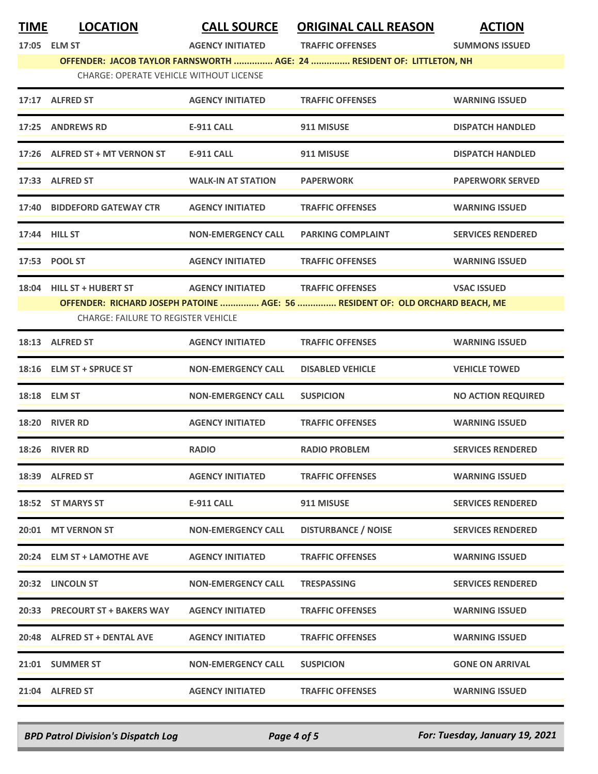| TIME | <b>LOCATION</b>                                | <b>CALL SOURCE</b>        | <b>ORIGINAL CALL REASON</b>                                                   | <b>ACTION</b>             |
|------|------------------------------------------------|---------------------------|-------------------------------------------------------------------------------|---------------------------|
|      | 17:05 ELM ST                                   | <b>AGENCY INITIATED</b>   | <b>TRAFFIC OFFENSES</b>                                                       | <b>SUMMONS ISSUED</b>     |
|      |                                                |                           | OFFENDER: JACOB TAYLOR FARNSWORTH  AGE: 24  RESIDENT OF: LITTLETON, NH        |                           |
|      | <b>CHARGE: OPERATE VEHICLE WITHOUT LICENSE</b> |                           |                                                                               |                           |
|      | 17:17 ALFRED ST                                | <b>AGENCY INITIATED</b>   | <b>TRAFFIC OFFENSES</b>                                                       | <b>WARNING ISSUED</b>     |
|      | 17:25 ANDREWS RD                               | <b>E-911 CALL</b>         | 911 MISUSE                                                                    | <b>DISPATCH HANDLED</b>   |
|      | 17:26 ALFRED ST + MT VERNON ST                 | <b>E-911 CALL</b>         | 911 MISUSE                                                                    | <b>DISPATCH HANDLED</b>   |
|      | 17:33 ALFRED ST                                | <b>WALK-IN AT STATION</b> | <b>PAPERWORK</b>                                                              | <b>PAPERWORK SERVED</b>   |
|      | 17:40 BIDDEFORD GATEWAY CTR                    | <b>AGENCY INITIATED</b>   | <b>TRAFFIC OFFENSES</b>                                                       | <b>WARNING ISSUED</b>     |
|      | 17:44 HILL ST                                  | <b>NON-EMERGENCY CALL</b> | <b>PARKING COMPLAINT</b>                                                      | <b>SERVICES RENDERED</b>  |
|      | 17:53 POOL ST                                  | <b>AGENCY INITIATED</b>   | <b>TRAFFIC OFFENSES</b>                                                       | <b>WARNING ISSUED</b>     |
|      | 18:04 HILL ST + HUBERT ST                      | <b>AGENCY INITIATED</b>   | <b>TRAFFIC OFFENSES</b>                                                       | <b>VSAC ISSUED</b>        |
|      |                                                |                           | OFFENDER: RICHARD JOSEPH PATOINE  AGE: 56  RESIDENT OF: OLD ORCHARD BEACH, ME |                           |
|      | <b>CHARGE: FAILURE TO REGISTER VEHICLE</b>     |                           |                                                                               |                           |
|      | 18:13 ALFRED ST                                | <b>AGENCY INITIATED</b>   | <b>TRAFFIC OFFENSES</b>                                                       | <b>WARNING ISSUED</b>     |
|      | 18:16 ELM ST + SPRUCE ST                       | <b>NON-EMERGENCY CALL</b> | <b>DISABLED VEHICLE</b>                                                       | <b>VEHICLE TOWED</b>      |
|      | 18:18 ELM ST                                   | <b>NON-EMERGENCY CALL</b> | <b>SUSPICION</b>                                                              | <b>NO ACTION REQUIRED</b> |
|      | 18:20 RIVER RD                                 | <b>AGENCY INITIATED</b>   | <b>TRAFFIC OFFENSES</b>                                                       | <b>WARNING ISSUED</b>     |
|      | 18:26 RIVER RD                                 | <b>RADIO</b>              | <b>RADIO PROBLEM</b>                                                          | <b>SERVICES RENDERED</b>  |
|      | 18:39 ALFRED ST                                | <b>AGENCY INITIATED</b>   | <b>TRAFFIC OFFENSES</b>                                                       | <b>WARNING ISSUED</b>     |
|      | 18:52 ST MARYS ST                              | E-911 CALL                | 911 MISUSE                                                                    | <b>SERVICES RENDERED</b>  |
|      | 20:01 MT VERNON ST                             | <b>NON-EMERGENCY CALL</b> | <b>DISTURBANCE / NOISE</b>                                                    | <b>SERVICES RENDERED</b>  |
|      | 20:24 ELM ST + LAMOTHE AVE                     | <b>AGENCY INITIATED</b>   | <b>TRAFFIC OFFENSES</b>                                                       | <b>WARNING ISSUED</b>     |
|      | 20:32 LINCOLN ST                               | <b>NON-EMERGENCY CALL</b> | <b>TRESPASSING</b>                                                            | <b>SERVICES RENDERED</b>  |
|      | 20:33 PRECOURT ST + BAKERS WAY                 | <b>AGENCY INITIATED</b>   | <b>TRAFFIC OFFENSES</b>                                                       | <b>WARNING ISSUED</b>     |
|      | 20:48 ALFRED ST + DENTAL AVE                   | <b>AGENCY INITIATED</b>   | <b>TRAFFIC OFFENSES</b>                                                       | <b>WARNING ISSUED</b>     |
|      | 21:01 SUMMER ST                                | <b>NON-EMERGENCY CALL</b> | <b>SUSPICION</b>                                                              | <b>GONE ON ARRIVAL</b>    |
|      | 21:04 ALFRED ST                                | <b>AGENCY INITIATED</b>   | <b>TRAFFIC OFFENSES</b>                                                       | <b>WARNING ISSUED</b>     |
|      |                                                |                           |                                                                               |                           |

*BPD Patrol Division's Dispatch Log Page 4 of 5 For: Tuesday, January 19, 2021*